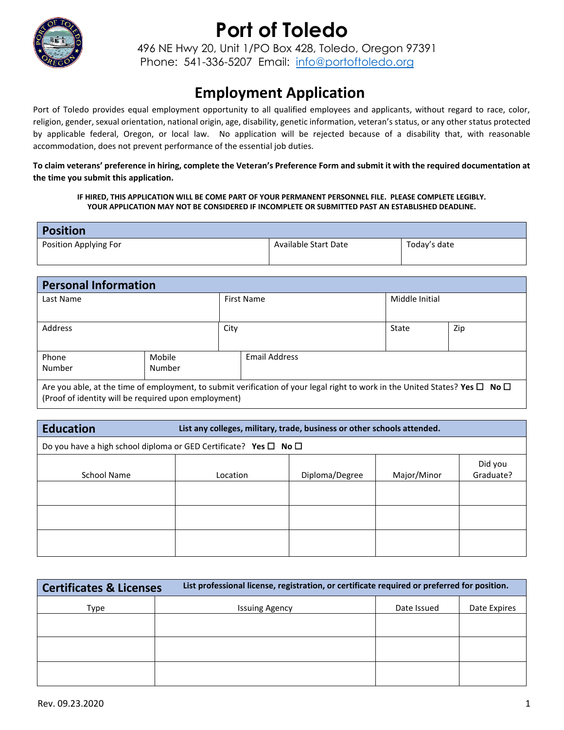

496 NE Hwy 20, Unit 1/PO Box 428, Toledo, Oregon 97391 Phone: 541-336-5207 Email: [info@portoftoledo.org](mailto:info@portoftoledo.org)

### **Employment Application**

Port of Toledo provides equal employment opportunity to all qualified employees and applicants, without regard to race, color, religion, gender, sexual orientation, national origin, age, disability, genetic information, veteran's status, or any other status protected by applicable federal, Oregon, or local law. No application will be rejected because of a disability that, with reasonable accommodation, does not prevent performance of the essential job duties.

**To claim veterans' preference in hiring, complete the Veteran's Preference Form and submit it with the required documentation at the time you submit this application.**

**IF HIRED, THIS APPLICATION WILL BE COME PART OF YOUR PERMANENT PERSONNEL FILE. PLEASE COMPLETE LEGIBLY. YOUR APPLICATION MAY NOT BE CONSIDERED IF INCOMPLETE OR SUBMITTED PAST AN ESTABLISHED DEADLINE.**

| <b>Position</b>       |                      |              |
|-----------------------|----------------------|--------------|
| Position Applying For | Available Start Date | Today's date |
|                       |                      |              |

| <b>Personal Information</b>                                                                                                                                                                    |        |                   |               |                |     |
|------------------------------------------------------------------------------------------------------------------------------------------------------------------------------------------------|--------|-------------------|---------------|----------------|-----|
| Last Name                                                                                                                                                                                      |        | <b>First Name</b> |               | Middle Initial |     |
|                                                                                                                                                                                                |        |                   |               |                |     |
| <b>Address</b>                                                                                                                                                                                 | City   |                   |               | State          | Zip |
|                                                                                                                                                                                                |        |                   |               |                |     |
| Phone                                                                                                                                                                                          | Mobile |                   | Email Address |                |     |
| Number                                                                                                                                                                                         | Number |                   |               |                |     |
| Are you able, at the time of employment, to submit verification of your legal right to work in the United States? Yes $\Box$ No $\Box$<br>(Proof of identity will be required upon employment) |        |                   |               |                |     |

| <b>Education</b>                                                           | List any colleges, military, trade, business or other schools attended. |                |             |                      |
|----------------------------------------------------------------------------|-------------------------------------------------------------------------|----------------|-------------|----------------------|
| Do you have a high school diploma or GED Certificate? Yes $\Box$ No $\Box$ |                                                                         |                |             |                      |
| School Name                                                                | Location                                                                | Diploma/Degree | Major/Minor | Did you<br>Graduate? |
|                                                                            |                                                                         |                |             |                      |
|                                                                            |                                                                         |                |             |                      |
|                                                                            |                                                                         |                |             |                      |

| <b>Certificates &amp; Licenses</b> | List professional license, registration, or certificate required or preferred for position. |             |              |
|------------------------------------|---------------------------------------------------------------------------------------------|-------------|--------------|
| Type                               | <b>Issuing Agency</b>                                                                       | Date Issued | Date Expires |
|                                    |                                                                                             |             |              |
|                                    |                                                                                             |             |              |
|                                    |                                                                                             |             |              |
|                                    |                                                                                             |             |              |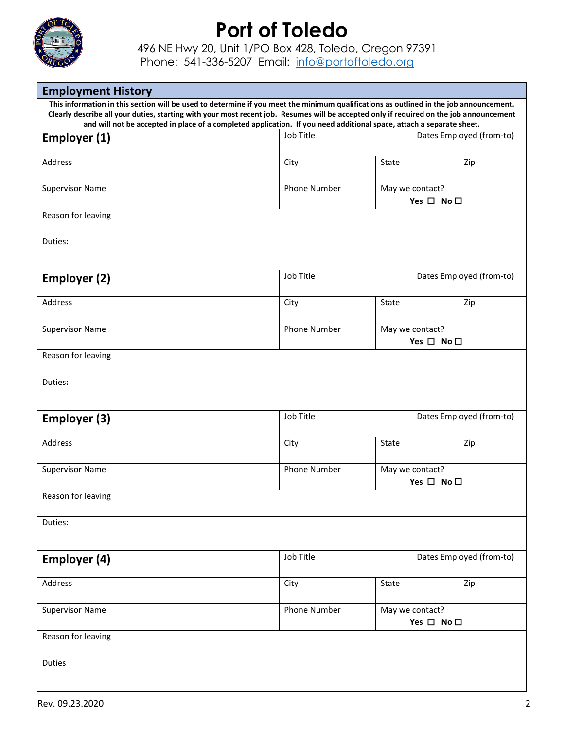

496 NE Hwy 20, Unit 1/PO Box 428, Toledo, Oregon 97391

Phone: 541-336-5207 Email: [info@portoftoledo.org](mailto:info@portoftoledo.org)

| <b>Employment History</b>                                                                                                                                                                                                                                                                                                                                                                                 |                     |                                               |  |                          |
|-----------------------------------------------------------------------------------------------------------------------------------------------------------------------------------------------------------------------------------------------------------------------------------------------------------------------------------------------------------------------------------------------------------|---------------------|-----------------------------------------------|--|--------------------------|
| This information in this section will be used to determine if you meet the minimum qualifications as outlined in the job announcement.<br>Clearly describe all your duties, starting with your most recent job. Resumes will be accepted only if required on the job announcement<br>and will not be accepted in place of a completed application. If you need additional space, attach a separate sheet. |                     |                                               |  |                          |
| Employer (1)                                                                                                                                                                                                                                                                                                                                                                                              | Job Title           |                                               |  | Dates Employed (from-to) |
| Address                                                                                                                                                                                                                                                                                                                                                                                                   | City                | State                                         |  | Zip                      |
| <b>Supervisor Name</b>                                                                                                                                                                                                                                                                                                                                                                                    | <b>Phone Number</b> | May we contact?<br>Yes $\square$ No $\square$ |  |                          |
| Reason for leaving                                                                                                                                                                                                                                                                                                                                                                                        |                     |                                               |  |                          |
| Duties:                                                                                                                                                                                                                                                                                                                                                                                                   |                     |                                               |  |                          |
| Employer (2)                                                                                                                                                                                                                                                                                                                                                                                              | Job Title           | Dates Employed (from-to)                      |  |                          |
| Address                                                                                                                                                                                                                                                                                                                                                                                                   | City                | State<br>Zip                                  |  |                          |
| <b>Supervisor Name</b>                                                                                                                                                                                                                                                                                                                                                                                    | Phone Number        | May we contact?<br>Yes $\square$ No $\square$ |  |                          |
| Reason for leaving                                                                                                                                                                                                                                                                                                                                                                                        |                     |                                               |  |                          |
| Duties:                                                                                                                                                                                                                                                                                                                                                                                                   |                     |                                               |  |                          |
| Employer (3)                                                                                                                                                                                                                                                                                                                                                                                              | Job Title           | Dates Employed (from-to)                      |  |                          |
| <b>Address</b>                                                                                                                                                                                                                                                                                                                                                                                            | City                | <b>State</b>                                  |  | Zip                      |
| <b>Supervisor Name</b>                                                                                                                                                                                                                                                                                                                                                                                    | <b>Phone Number</b> | May we contact?<br>Yes $\square$ No $\square$ |  |                          |
| Reason for leaving                                                                                                                                                                                                                                                                                                                                                                                        |                     |                                               |  |                          |
| Duties:                                                                                                                                                                                                                                                                                                                                                                                                   |                     |                                               |  |                          |
| Employer (4)                                                                                                                                                                                                                                                                                                                                                                                              | Job Title           |                                               |  | Dates Employed (from-to) |
| Address                                                                                                                                                                                                                                                                                                                                                                                                   | City                | State                                         |  | Zip                      |
| <b>Supervisor Name</b>                                                                                                                                                                                                                                                                                                                                                                                    | Phone Number        | May we contact?<br>Yes $\square$ No $\square$ |  |                          |
| Reason for leaving                                                                                                                                                                                                                                                                                                                                                                                        |                     |                                               |  |                          |
| Duties                                                                                                                                                                                                                                                                                                                                                                                                    |                     |                                               |  |                          |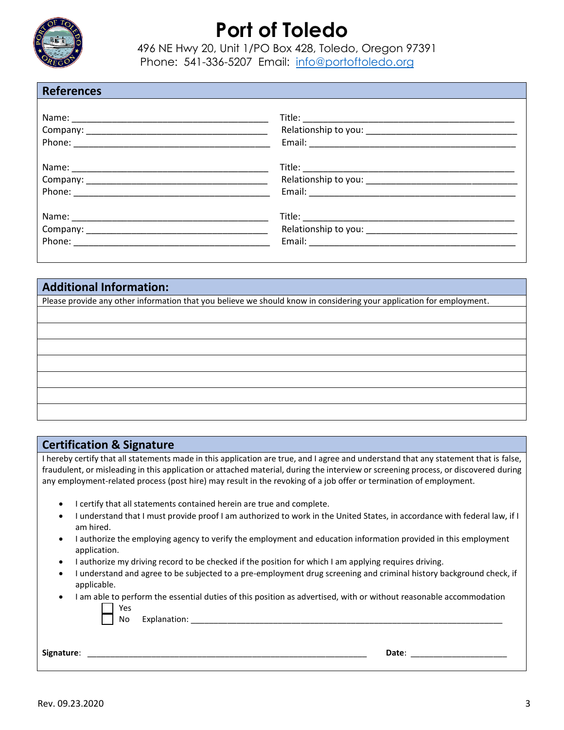

496 NE Hwy 20, Unit 1/PO Box 428, Toledo, Oregon 97391 Phone: 541-336-5207 Email: [info@portoftoledo.org](mailto:info@portoftoledo.org)

#### **References**

# **Additional Information:**  Please provide any other information that you believe we should know in considering your application for employment.

#### **Certification & Signature**

I hereby certify that all statements made in this application are true, and I agree and understand that any statement that is false, fraudulent, or misleading in this application or attached material, during the interview or screening process, or discovered during any employment-related process (post hire) may result in the revoking of a job offer or termination of employment.

• I certify that all statements contained herein are true and complete.

No Explanation:

- I understand that I must provide proof I am authorized to work in the United States, in accordance with federal law, if I am hired.
- I authorize the employing agency to verify the employment and education information provided in this employment application.
- I authorize my driving record to be checked if the position for which I am applying requires driving.
- I understand and agree to be subjected to a pre-employment drug screening and criminal history background check, if applicable.
- I am able to perform the essential duties of this position as advertised, with or without reasonable accommodation Yes

| Signature: |       |  |
|------------|-------|--|
|            | Date. |  |